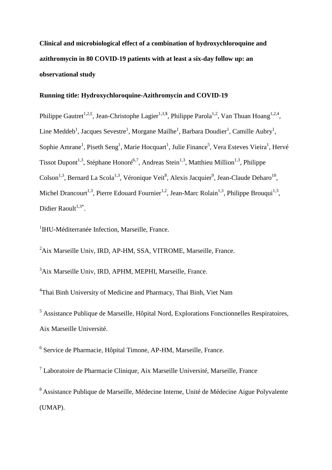**Clinical and microbiological effect of a combination of hydroxychloroquine and azithromycin in 80 COVID-19 patients with at least a six-day follow up: an observational study** 

# **Running title: Hydroxychloroquine-Azithromycin and COVID-19**

Philippe Gautret<sup>1,2,£</sup>, Jean-Christophe Lagier<sup>1,3,\$</sup>, Philippe Parola<sup>1,2</sup>, Van Thuan Hoang<sup>1,2,4</sup>, Line Meddeb<sup>1</sup>, Jacques Sevestre<sup>1</sup>, Morgane Mailhe<sup>1</sup>, Barbara Doudier<sup>1</sup>, Camille Aubry<sup>1</sup>, Sophie Amrane<sup>1</sup>, Piseth Seng<sup>1</sup>, Marie Hocquart<sup>1</sup>, Julie Finance<sup>5</sup>, Vera Esteves Vieira<sup>1</sup>, Hervé Tissot Dupont<sup>1,3</sup>, Stéphane Honoré<sup>6,7</sup>, Andreas Stein<sup>1,3</sup>, Matthieu Million<sup>1,3</sup>, Philippe Colson<sup>1,3</sup>, Bernard La Scola<sup>1,3</sup>, Véronique Veit<sup>8</sup>, Alexis Jacquier<sup>9</sup>, Jean-Claude Deharo<sup>10</sup>, Michel Drancourt<sup>1,3</sup>, Pierre Edouard Fournier<sup>1,2</sup>, Jean-Marc Rolain<sup>1,3</sup>, Philippe Brouqui<sup>1,3</sup>, Didier Raoult<sup>1,3\*</sup>.

<sup>1</sup>IHU-Méditerranée Infection, Marseille, France.

<sup>2</sup>Aix Marseille Univ, IRD, AP-HM, SSA, VITROME, Marseille, France.

<sup>3</sup>Aix Marseille Univ, IRD, APHM, MEPHI, Marseille, France.

<sup>4</sup>Thai Binh University of Medicine and Pharmacy, Thai Binh, Viet Nam

<sup>5</sup> Assistance Publique de Marseille, Hôpital Nord, Explorations Fonctionnelles Respiratoires, Aix Marseille Université.

<sup>6</sup> Service de Pharmacie, Hôpital Timone, AP-HM, Marseille, France.

<sup>7</sup> Laboratoire de Pharmacie Clinique, Aix Marseille Université, Marseille, France

<sup>8</sup>Assistance Publique de Marseille, Médecine Interne, Unité de Médecine Aigue Polyvalente (UMAP).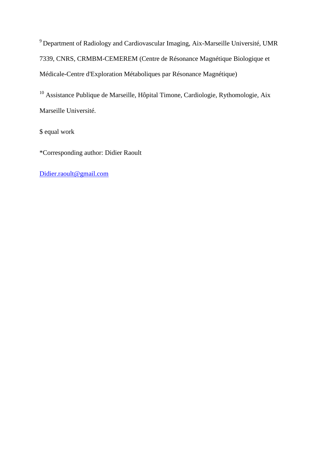<sup>9</sup> Department of Radiology and Cardiovascular Imaging, Aix-Marseille Université, UMR 7339, CNRS, CRMBM-CEMEREM (Centre de Résonance Magnétique Biologique et Médicale-Centre d'Exploration Métaboliques par Résonance Magnétique)

<sup>10</sup> Assistance Publique de Marseille, Hôpital Timone, Cardiologie, Rythomologie, Aix Marseille Université.

\$ equal work

\*Corresponding author: Didier Raoult

Didier.raoult@gmail.com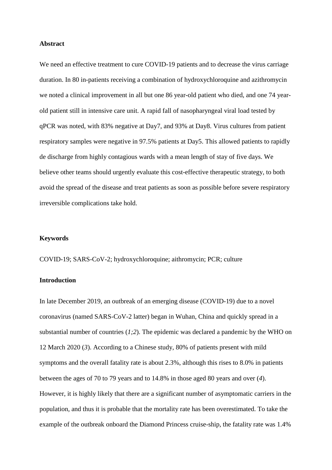#### **Abstract**

We need an effective treatment to cure COVID-19 patients and to decrease the virus carriage duration. In 80 in-patients receiving a combination of hydroxychloroquine and azithromycin we noted a clinical improvement in all but one 86 year-old patient who died, and one 74 yearold patient still in intensive care unit. A rapid fall of nasopharyngeal viral load tested by qPCR was noted, with 83% negative at Day7, and 93% at Day8. Virus cultures from patient respiratory samples were negative in 97.5% patients at Day5. This allowed patients to rapidly de discharge from highly contagious wards with a mean length of stay of five days. We believe other teams should urgently evaluate this cost-effective therapeutic strategy, to both avoid the spread of the disease and treat patients as soon as possible before severe respiratory irreversible complications take hold.

# **Keywords**

COVID-19; SARS-CoV-2; hydroxychloroquine; aithromycin; PCR; culture

## **Introduction**

In late December 2019, an outbreak of an emerging disease (COVID-19) due to a novel coronavirus (named SARS-CoV-2 latter) began in Wuhan, China and quickly spread in a substantial number of countries (*1;2*). The epidemic was declared a pandemic by the WHO on 12 March 2020 (*3*). According to a Chinese study, 80% of patients present with mild symptoms and the overall fatality rate is about 2.3%, although this rises to 8.0% in patients between the ages of 70 to 79 years and to 14.8% in those aged 80 years and over (*4*). However, it is highly likely that there are a significant number of asymptomatic carriers in the population, and thus it is probable that the mortality rate has been overestimated. To take the example of the outbreak onboard the Diamond Princess cruise-ship, the fatality rate was 1.4%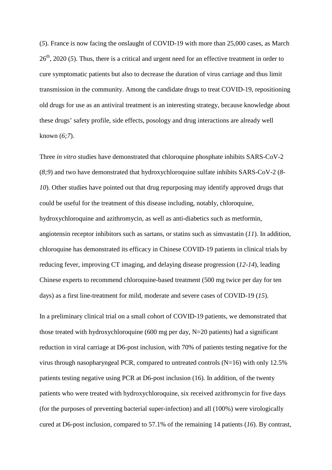(*5*). France is now facing the onslaught of COVID-19 with more than 25,000 cases, as March 26th, 2020 (*5*). Thus, there is a critical and urgent need for an effective treatment in order to cure symptomatic patients but also to decrease the duration of virus carriage and thus limit transmission in the community. Among the candidate drugs to treat COVID-19, repositioning old drugs for use as an antiviral treatment is an interesting strategy, because knowledge about these drugs' safety profile, side effects, posology and drug interactions are already well known (*6;7*).

Three *in vitro* studies have demonstrated that chloroquine phosphate inhibits SARS-CoV-2 (*8;9*) and two have demonstrated that hydroxychloroquine sulfate inhibits SARS-CoV-2 (*8- 10*). Other studies have pointed out that drug repurposing may identify approved drugs that could be useful for the treatment of this disease including, notably, chloroquine, hydroxychloroquine and azithromycin, as well as anti-diabetics such as metformin, angiotensin receptor inhibitors such as sartans, or statins such as simvastatin (*11*). In addition, chloroquine has demonstrated its efficacy in Chinese COVID-19 patients in clinical trials by reducing fever, improving CT imaging, and delaying disease progression (*12-14*), leading Chinese experts to recommend chloroquine-based treatment (500 mg twice per day for ten days) as a first line-treatment for mild, moderate and severe cases of COVID-19 (*15*).

In a preliminary clinical trial on a small cohort of COVID-19 patients, we demonstrated that those treated with hydroxychloroquine (600 mg per day,  $N=20$  patients) had a significant reduction in viral carriage at D6-post inclusion, with 70% of patients testing negative for the virus through nasopharyngeal PCR, compared to untreated controls (N=16) with only 12.5% patients testing negative using PCR at D6-post inclusion (16). In addition, of the twenty patients who were treated with hydroxychloroquine, six received azithromycin for five days (for the purposes of preventing bacterial super-infection) and all (100%) were virologically cured at D6-post inclusion, compared to 57.1% of the remaining 14 patients (*16*). By contrast,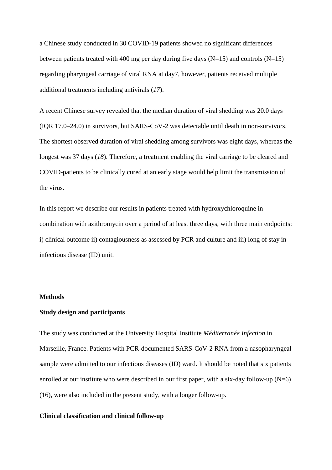a Chinese study conducted in 30 COVID-19 patients showed no significant differences between patients treated with 400 mg per day during five days ( $N=15$ ) and controls ( $N=15$ ) regarding pharyngeal carriage of viral RNA at day7, however, patients received multiple additional treatments including antivirals (*17*).

A recent Chinese survey revealed that the median duration of viral shedding was 20.0 days (IQR 17.0–24.0) in survivors, but SARS-CoV-2 was detectable until death in non-survivors. The shortest observed duration of viral shedding among survivors was eight days, whereas the longest was 37 days (*18*). Therefore, a treatment enabling the viral carriage to be cleared and COVID-patients to be clinically cured at an early stage would help limit the transmission of the virus.

In this report we describe our results in patients treated with hydroxychloroquine in combination with azithromycin over a period of at least three days, with three main endpoints: i) clinical outcome ii) contagiousness as assessed by PCR and culture and iii) long of stay in infectious disease (ID) unit.

#### **Methods**

## **Study design and participants**

The study was conducted at the University Hospital Institute *Méditerranée Infection* in Marseille, France. Patients with PCR-documented SARS-CoV-2 RNA from a nasopharyngeal sample were admitted to our infectious diseases (ID) ward. It should be noted that six patients enrolled at our institute who were described in our first paper, with a six-day follow-up  $(N=6)$ (16), were also included in the present study, with a longer follow-up.

#### **Clinical classification and clinical follow-up**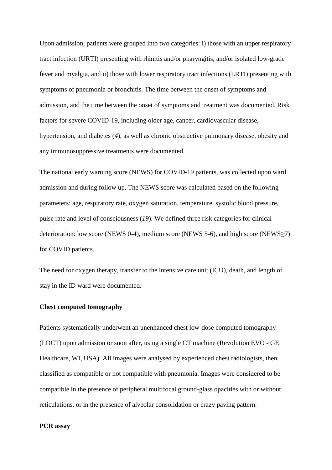Upon admission, patients were grouped into two categories: i) those with an upper respiratory tract infection (URTI) presenting with rhinitis and/or pharyngitis, and/or isolated low-grade fever and myalgia, and ii) those with lower respiratory tract infections (LRTI) presenting with symptoms of pneumonia or bronchitis. The time between the onset of symptoms and admission, and the time between the onset of symptoms and treatment was documented. Risk factors for severe COVID-19, including older age, cancer, cardiovascular disease, hypertension, and diabetes (*4*), as well as chronic obstructive pulmonary disease, obesity and any immunosuppressive treatments were documented.

The national early warning score (NEWS) for COVID-19 patients, was collected upon ward admission and during follow up. The NEWS score was calculated based on the following parameters: age, respiratory rate, oxygen saturation, temperature, systolic blood pressure, pulse rate and level of consciousness (*19*). We defined three risk categories for clinical deterioration: low score (NEWS 0-4), medium score (NEWS 5-6), and high score (NEWS≥7) for COVID patients.

The need for oxygen therapy, transfer to the intensive care unit (ICU), death, and length of stay in the ID ward were documented.

#### **Chest computed tomography**

Patients systematically underwent an unenhanced chest low-dose computed tomography (LDCT) upon admission or soon after, using a single CT machine (Revolution EVO - GE Healthcare, WI, USA). All images were analysed by experienced chest radiologists, then classified as compatible or not compatible with pneumonia. Images were considered to be compatible in the presence of peripheral multifocal ground-glass opacities with or without reticulations, or in the presence of alveolar consolidation or crazy paving pattern.

#### **PCR assay**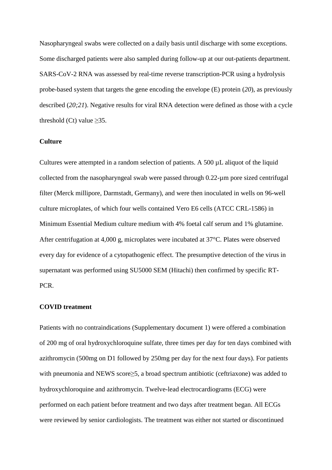Nasopharyngeal swabs were collected on a daily basis until discharge with some exceptions. Some discharged patients were also sampled during follow-up at our out-patients department. SARS-CoV-2 RNA was assessed by real-time reverse transcription-PCR using a hydrolysis probe-based system that targets the gene encoding the envelope (E) protein (*20*), as previously described (*20;21*). Negative results for viral RNA detection were defined as those with a cycle threshold  $(Ct)$  value  $>35$ .

## **Culture**

Cultures were attempted in a random selection of patients. A 500 µL aliquot of the liquid collected from the nasopharyngeal swab were passed through 0.22-µm pore sized centrifugal filter (Merck millipore, Darmstadt, Germany), and were then inoculated in wells on 96-well culture microplates, of which four wells contained Vero E6 cells (ATCC CRL-1586) in Minimum Essential Medium culture medium with 4% foetal calf serum and 1% glutamine. After centrifugation at 4,000 g, microplates were incubated at 37°C. Plates were observed every day for evidence of a cytopathogenic effect. The presumptive detection of the virus in supernatant was performed using SU5000 SEM (Hitachi) then confirmed by specific RT-PCR.

#### **COVID treatment**

Patients with no contraindications (Supplementary document 1) were offered a combination of 200 mg of oral hydroxychloroquine sulfate, three times per day for ten days combined with azithromycin (500mg on D1 followed by 250mg per day for the next four days). For patients with pneumonia and NEWS score≥5, a broad spectrum antibiotic (ceftriaxone) was added to hydroxychloroquine and azithromycin. Twelve-lead electrocardiograms (ECG) were performed on each patient before treatment and two days after treatment began. All ECGs were reviewed by senior cardiologists. The treatment was either not started or discontinued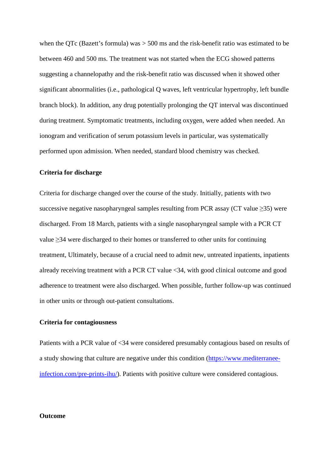when the QTc (Bazett's formula) was  $> 500$  ms and the risk-benefit ratio was estimated to be between 460 and 500 ms. The treatment was not started when the ECG showed patterns suggesting a channelopathy and the risk-benefit ratio was discussed when it showed other significant abnormalities (i.e., pathological Q waves, left ventricular hypertrophy, left bundle branch block). In addition, any drug potentially prolonging the QT interval was discontinued during treatment. Symptomatic treatments, including oxygen, were added when needed. An ionogram and verification of serum potassium levels in particular, was systematically performed upon admission. When needed, standard blood chemistry was checked.

#### **Criteria for discharge**

Criteria for discharge changed over the course of the study. Initially, patients with two successive negative nasopharyngeal samples resulting from PCR assay (CT value  $\geq$ 35) were discharged. From 18 March, patients with a single nasopharyngeal sample with a PCR CT value ≥34 were discharged to their homes or transferred to other units for continuing treatment, Ultimately, because of a crucial need to admit new, untreated inpatients, inpatients already receiving treatment with a PCR CT value <34, with good clinical outcome and good adherence to treatment were also discharged. When possible, further follow-up was continued in other units or through out-patient consultations.

#### **Criteria for contagiousness**

Patients with a PCR value of <34 were considered presumably contagious based on results of a study showing that culture are negative under this condition (https://www.mediterraneeinfection.com/pre-prints-ihu/). Patients with positive culture were considered contagious.

## **Outcome**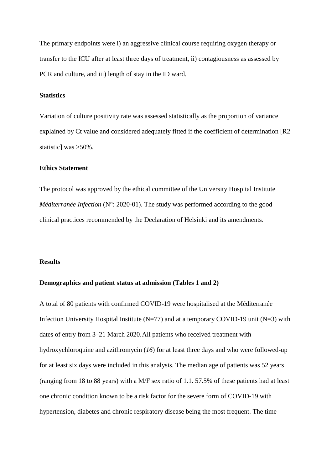The primary endpoints were i) an aggressive clinical course requiring oxygen therapy or transfer to the ICU after at least three days of treatment, ii) contagiousness as assessed by PCR and culture, and iii) length of stay in the ID ward.

## **Statistics**

Variation of culture positivity rate was assessed statistically as the proportion of variance explained by Ct value and considered adequately fitted if the coefficient of determination [R2 statistic] was >50%.

## **Ethics Statement**

The protocol was approved by the ethical committee of the University Hospital Institute *Méditerranée Infection* (N°: 2020-01). The study was performed according to the good clinical practices recommended by the Declaration of Helsinki and its amendments.

#### **Results**

#### **Demographics and patient status at admission (Tables 1 and 2)**

A total of 80 patients with confirmed COVID-19 were hospitalised at the Méditerranée Infection University Hospital Institute ( $N=77$ ) and at a temporary COVID-19 unit ( $N=3$ ) with dates of entry from 3–21 March 2020. All patients who received treatment with hydroxychloroquine and azithromycin (*16*) for at least three days and who were followed-up for at least six days were included in this analysis. The median age of patients was 52 years (ranging from 18 to 88 years) with a M/F sex ratio of 1.1. 57.5% of these patients had at least one chronic condition known to be a risk factor for the severe form of COVID-19 with hypertension, diabetes and chronic respiratory disease being the most frequent. The time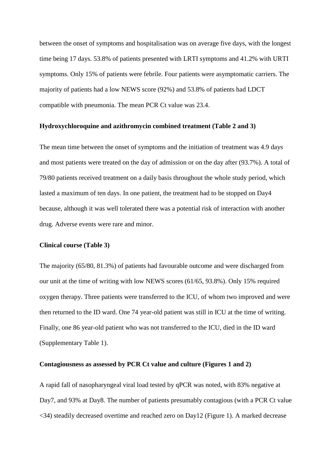between the onset of symptoms and hospitalisation was on average five days, with the longest time being 17 days. 53.8% of patients presented with LRTI symptoms and 41.2% with URTI symptoms. Only 15% of patients were febrile. Four patients were asymptomatic carriers. The majority of patients had a low NEWS score (92%) and 53.8% of patients had LDCT compatible with pneumonia. The mean PCR Ct value was 23.4.

#### **Hydroxychloroquine and azithromycin combined treatment (Table 2 and 3)**

The mean time between the onset of symptoms and the initiation of treatment was 4.9 days and most patients were treated on the day of admission or on the day after (93.7%). A total of 79/80 patients received treatment on a daily basis throughout the whole study period, which lasted a maximum of ten days. In one patient, the treatment had to be stopped on Day4 because, although it was well tolerated there was a potential risk of interaction with another drug. Adverse events were rare and minor.

#### **Clinical course (Table 3)**

The majority (65/80, 81.3%) of patients had favourable outcome and were discharged from our unit at the time of writing with low NEWS scores (61/65, 93.8%). Only 15% required oxygen therapy. Three patients were transferred to the ICU, of whom two improved and were then returned to the ID ward. One 74 year-old patient was still in ICU at the time of writing. Finally, one 86 year-old patient who was not transferred to the ICU, died in the ID ward (Supplementary Table 1).

#### **Contagiousness as assessed by PCR Ct value and culture (Figures 1 and 2)**

A rapid fall of nasopharyngeal viral load tested by qPCR was noted, with 83% negative at Day7, and 93% at Day8. The number of patients presumably contagious (with a PCR Ct value <34) steadily decreased overtime and reached zero on Day12 (Figure 1). A marked decrease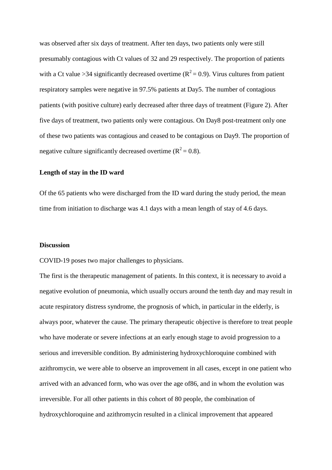was observed after six days of treatment. After ten days, two patients only were still presumably contagious with Ct values of 32 and 29 respectively. The proportion of patients with a Ct value >34 significantly decreased overtime ( $R^2 = 0.9$ ). Virus cultures from patient respiratory samples were negative in 97.5% patients at Day5. The number of contagious patients (with positive culture) early decreased after three days of treatment (Figure 2). After five days of treatment, two patients only were contagious. On Day8 post-treatment only one of these two patients was contagious and ceased to be contagious on Day9. The proportion of negative culture significantly decreased overtime ( $R^2 = 0.8$ ).

#### **Length of stay in the ID ward**

Of the 65 patients who were discharged from the ID ward during the study period, the mean time from initiation to discharge was 4.1 days with a mean length of stay of 4.6 days.

#### **Discussion**

COVID-19 poses two major challenges to physicians.

The first is the therapeutic management of patients. In this context, it is necessary to avoid a negative evolution of pneumonia, which usually occurs around the tenth day and may result in acute respiratory distress syndrome, the prognosis of which, in particular in the elderly, is always poor, whatever the cause. The primary therapeutic objective is therefore to treat people who have moderate or severe infections at an early enough stage to avoid progression to a serious and irreversible condition. By administering hydroxychloroquine combined with azithromycin, we were able to observe an improvement in all cases, except in one patient who arrived with an advanced form, who was over the age of86, and in whom the evolution was irreversible. For all other patients in this cohort of 80 people, the combination of hydroxychloroquine and azithromycin resulted in a clinical improvement that appeared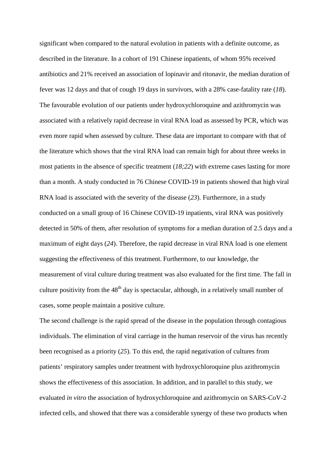significant when compared to the natural evolution in patients with a definite outcome, as described in the literature. In a cohort of 191 Chinese inpatients, of whom 95% received antibiotics and 21% received an association of lopinavir and ritonavir, the median duration of fever was 12 days and that of cough 19 days in survivors, with a 28% case-fatality rate (*18*). The favourable evolution of our patients under hydroxychloroquine and azithromycin was associated with a relatively rapid decrease in viral RNA load as assessed by PCR, which was even more rapid when assessed by culture. These data are important to compare with that of the literature which shows that the viral RNA load can remain high for about three weeks in most patients in the absence of specific treatment (*18;22*) with extreme cases lasting for more than a month. A study conducted in 76 Chinese COVID-19 in patients showed that high viral RNA load is associated with the severity of the disease (*23*). Furthermore, in a study conducted on a small group of 16 Chinese COVID-19 inpatients, viral RNA was positively detected in 50% of them, after resolution of symptoms for a median duration of 2.5 days and a maximum of eight days (*24*). Therefore, the rapid decrease in viral RNA load is one element suggesting the effectiveness of this treatment. Furthermore, to our knowledge, the measurement of viral culture during treatment was also evaluated for the first time. The fall in culture positivity from the  $48<sup>th</sup>$  day is spectacular, although, in a relatively small number of cases, some people maintain a positive culture.

The second challenge is the rapid spread of the disease in the population through contagious individuals. The elimination of viral carriage in the human reservoir of the virus has recently been recognised as a priority (*25*). To this end, the rapid negativation of cultures from patients' respiratory samples under treatment with hydroxychloroquine plus azithromycin shows the effectiveness of this association. In addition, and in parallel to this study, we evaluated *in vitro* the association of hydroxychloroquine and azithromycin on SARS-CoV-2 infected cells, and showed that there was a considerable synergy of these two products when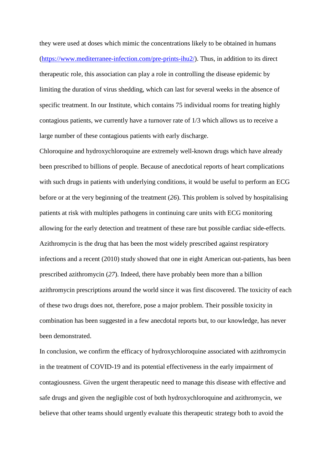they were used at doses which mimic the concentrations likely to be obtained in humans (https://www.mediterranee-infection.com/pre-prints-ihu2/). Thus, in addition to its direct therapeutic role, this association can play a role in controlling the disease epidemic by limiting the duration of virus shedding, which can last for several weeks in the absence of specific treatment. In our Institute, which contains 75 individual rooms for treating highly contagious patients, we currently have a turnover rate of 1/3 which allows us to receive a large number of these contagious patients with early discharge.

Chloroquine and hydroxychloroquine are extremely well-known drugs which have already been prescribed to billions of people. Because of anecdotical reports of heart complications with such drugs in patients with underlying conditions, it would be useful to perform an ECG before or at the very beginning of the treatment (*26*). This problem is solved by hospitalising patients at risk with multiples pathogens in continuing care units with ECG monitoring allowing for the early detection and treatment of these rare but possible cardiac side-effects. Azithromycin is the drug that has been the most widely prescribed against respiratory infections and a recent (2010) study showed that one in eight American out-patients, has been prescribed azithromycin (*27*). Indeed, there have probably been more than a billion azithromycin prescriptions around the world since it was first discovered. The toxicity of each of these two drugs does not, therefore, pose a major problem. Their possible toxicity in combination has been suggested in a few anecdotal reports but, to our knowledge, has never been demonstrated.

In conclusion, we confirm the efficacy of hydroxychloroquine associated with azithromycin in the treatment of COVID-19 and its potential effectiveness in the early impairment of contagiousness. Given the urgent therapeutic need to manage this disease with effective and safe drugs and given the negligible cost of both hydroxychloroquine and azithromycin, we believe that other teams should urgently evaluate this therapeutic strategy both to avoid the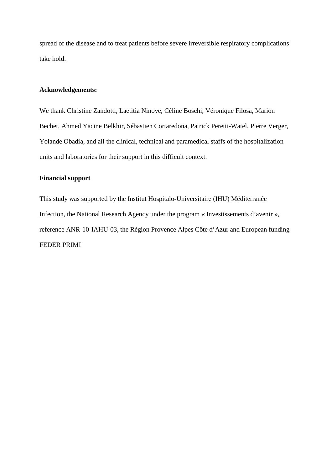spread of the disease and to treat patients before severe irreversible respiratory complications take hold.

## **Acknowledgements:**

We thank Christine Zandotti, Laetitia Ninove, Céline Boschi, Véronique Filosa, Marion Bechet, Ahmed Yacine Belkhir, Sébastien Cortaredona, Patrick Peretti-Watel, Pierre Verger, Yolande Obadia, and all the clinical, technical and paramedical staffs of the hospitalization units and laboratories for their support in this difficult context.

# **Financial support**

This study was supported by the Institut Hospitalo-Universitaire (IHU) Méditerranée Infection, the National Research Agency under the program « Investissements d'avenir », reference ANR-10-IAHU-03, the Région Provence Alpes Côte d'Azur and European funding FEDER PRIMI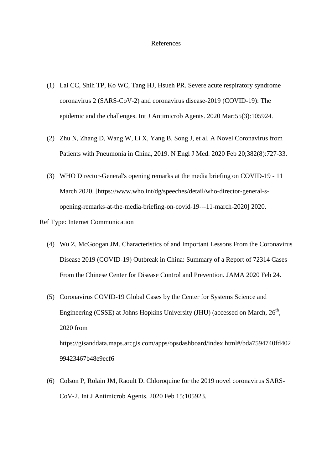#### References

- (1) Lai CC, Shih TP, Ko WC, Tang HJ, Hsueh PR. Severe acute respiratory syndrome coronavirus 2 (SARS-CoV-2) and coronavirus disease-2019 (COVID-19): The epidemic and the challenges. Int J Antimicrob Agents. 2020 Mar;55(3):105924.
- (2) Zhu N, Zhang D, Wang W, Li X, Yang B, Song J, et al. A Novel Coronavirus from Patients with Pneumonia in China, 2019. N Engl J Med. 2020 Feb 20;382(8):727-33.
- (3) WHO Director-General's opening remarks at the media briefing on COVID-19 11 March 2020. [https://www.who.int/dg/speeches/detail/who-director-general-sopening-remarks-at-the-media-briefing-on-covid-19---11-march-2020] 2020.

#### Ref Type: Internet Communication

- (4) Wu Z, McGoogan JM. Characteristics of and Important Lessons From the Coronavirus Disease 2019 (COVID-19) Outbreak in China: Summary of a Report of 72314 Cases From the Chinese Center for Disease Control and Prevention. JAMA 2020 Feb 24.
- (5) Coronavirus COVID-19 Global Cases by the Center for Systems Science and Engineering (CSSE) at Johns Hopkins University (JHU) (accessed on March, 26<sup>th</sup>, 2020 from https://gisanddata.maps.arcgis.com/apps/opsdashboard/index.html#/bda7594740fd402 99423467b48e9ecf6
- (6) Colson P, Rolain JM, Raoult D. Chloroquine for the 2019 novel coronavirus SARS-CoV-2. Int J Antimicrob Agents. 2020 Feb 15;105923.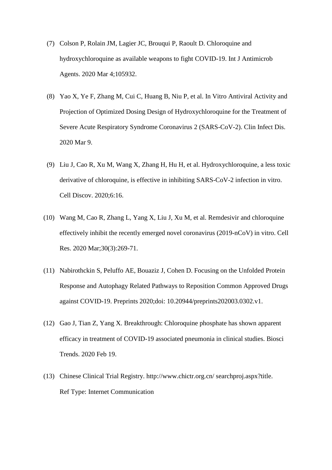- (7) Colson P, Rolain JM, Lagier JC, Brouqui P, Raoult D. Chloroquine and hydroxychloroquine as available weapons to fight COVID-19. Int J Antimicrob Agents. 2020 Mar 4;105932.
- (8) Yao X, Ye F, Zhang M, Cui C, Huang B, Niu P, et al. In Vitro Antiviral Activity and Projection of Optimized Dosing Design of Hydroxychloroquine for the Treatment of Severe Acute Respiratory Syndrome Coronavirus 2 (SARS-CoV-2). Clin Infect Dis. 2020 Mar 9.
- (9) Liu J, Cao R, Xu M, Wang X, Zhang H, Hu H, et al. Hydroxychloroquine, a less toxic derivative of chloroquine, is effective in inhibiting SARS-CoV-2 infection in vitro. Cell Discov. 2020;6:16.
- (10) Wang M, Cao R, Zhang L, Yang X, Liu J, Xu M, et al. Remdesivir and chloroquine effectively inhibit the recently emerged novel coronavirus (2019-nCoV) in vitro. Cell Res. 2020 Mar;30(3):269-71.
- (11) Nabirothckin S, Peluffo AE, Bouaziz J, Cohen D. Focusing on the Unfolded Protein Response and Autophagy Related Pathways to Reposition Common Approved Drugs against COVID-19. Preprints 2020;doi: 10.20944/preprints202003.0302.v1.
- (12) Gao J, Tian Z, Yang X. Breakthrough: Chloroquine phosphate has shown apparent efficacy in treatment of COVID-19 associated pneumonia in clinical studies. Biosci Trends. 2020 Feb 19.
- (13) Chinese Clinical Trial Registry. http://www.chictr.org.cn/ searchproj.aspx?title. Ref Type: Internet Communication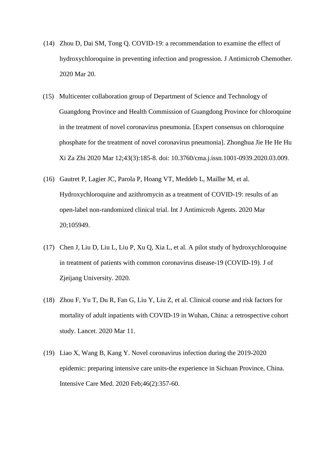- (14) Zhou D, Dai SM, Tong Q. COVID-19: a recommendation to examine the effect of hydroxychloroquine in preventing infection and progression. J Antimicrob Chemother. 2020 Mar 20.
- (15) Multicenter collaboration group of Department of Science and Technology of Guangdong Province and Health Commission of Guangdong Province for chloroquine in the treatment of novel coronavirus pneumonia. [Expert consensus on chloroquine phosphate for the treatment of novel coronavirus pneumonia]. Zhonghua Jie He He Hu Xi Za Zhi 2020 Mar 12;43(3):185-8. doi: 10.3760/cma.j.issn.1001-0939.2020.03.009.
- (16) Gautret P, Lagier JC, Parola P, Hoang VT, Meddeb L, Mailhe M, et al. Hydroxychloroquine and azithromycin as a treatment of COVID-19: results of an open-label non-randomized clinical trial. Int J Antimicrob Agents. 2020 Mar 20;105949.
- (17) Chen J, Liu D, Liu L, Liu P, Xu Q, Xia L, et al. A pilot study of hydroxychloroquine in treatment of patients with common coronavirus disease-19 (COVID-19). J of Zjeijang University. 2020.
- (18) Zhou F, Yu T, Du R, Fan G, Liu Y, Liu Z, et al. Clinical course and risk factors for mortality of adult inpatients with COVID-19 in Wuhan, China: a retrospective cohort study. Lancet. 2020 Mar 11.
- (19) Liao X, Wang B, Kang Y. Novel coronavirus infection during the 2019-2020 epidemic: preparing intensive care units-the experience in Sichuan Province, China. Intensive Care Med. 2020 Feb;46(2):357-60.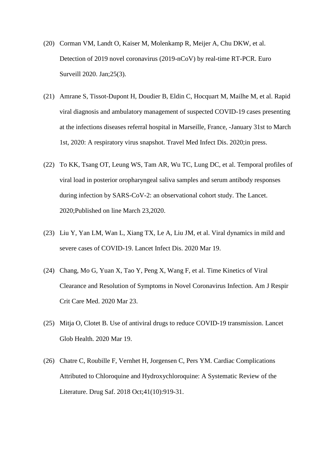- (20) Corman VM, Landt O, Kaiser M, Molenkamp R, Meijer A, Chu DKW, et al. Detection of 2019 novel coronavirus (2019-nCoV) by real-time RT-PCR. Euro Surveill 2020. Jan;25(3).
- (21) Amrane S, Tissot-Dupont H, Doudier B, Eldin C, Hocquart M, Mailhe M, et al. Rapid viral diagnosis and ambulatory management of suspected COVID-19 cases presenting at the infections diseases referral hospital in Marseille, France, -January 31st to March 1st, 2020: A respiratory virus snapshot. Travel Med Infect Dis. 2020;in press.
- (22) To KK, Tsang OT, Leung WS, Tam AR, Wu TC, Lung DC, et al. Temporal profiles of viral load in posterior oropharyngeal saliva samples and serum antibody responses during infection by SARS-CoV-2: an observational cohort study. The Lancet. 2020;Published on line March 23,2020.
- (23) Liu Y, Yan LM, Wan L, Xiang TX, Le A, Liu JM, et al. Viral dynamics in mild and severe cases of COVID-19. Lancet Infect Dis. 2020 Mar 19.
- (24) Chang, Mo G, Yuan X, Tao Y, Peng X, Wang F, et al. Time Kinetics of Viral Clearance and Resolution of Symptoms in Novel Coronavirus Infection. Am J Respir Crit Care Med. 2020 Mar 23.
- (25) Mitja O, Clotet B. Use of antiviral drugs to reduce COVID-19 transmission. Lancet Glob Health. 2020 Mar 19.
- (26) Chatre C, Roubille F, Vernhet H, Jorgensen C, Pers YM. Cardiac Complications Attributed to Chloroquine and Hydroxychloroquine: A Systematic Review of the Literature. Drug Saf. 2018 Oct;41(10):919-31.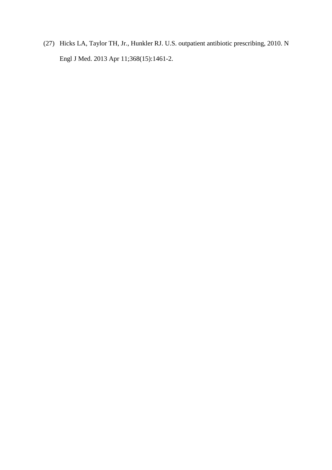(27) Hicks LA, Taylor TH, Jr., Hunkler RJ. U.S. outpatient antibiotic prescribing, 2010. N Engl J Med. 2013 Apr 11;368(15):1461-2.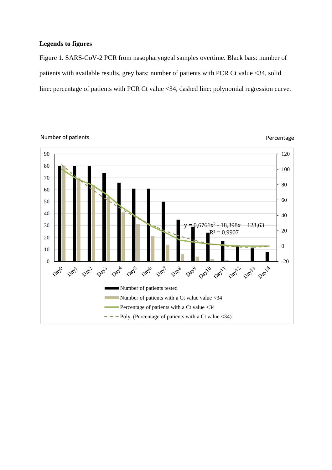## **Legends to figures**

Figure 1. SARS-CoV-2 PCR from nasopharyngeal samples overtime. Black bars: number of patients with available results, grey bars: number of patients with PCR Ct value <34, solid line: percentage of patients with PCR Ct value <34, dashed line: polynomial regression curve.



## Number of patients **Percentage**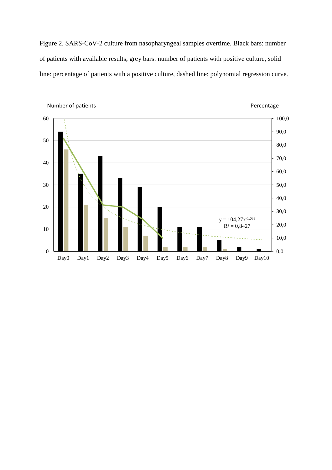Figure 2. SARS-CoV-2 culture from nasopharyngeal samples overtime. Black bars: number of patients with available results, grey bars: number of patients with positive culture, solid line: percentage of patients with a positive culture, dashed line: polynomial regression curve.

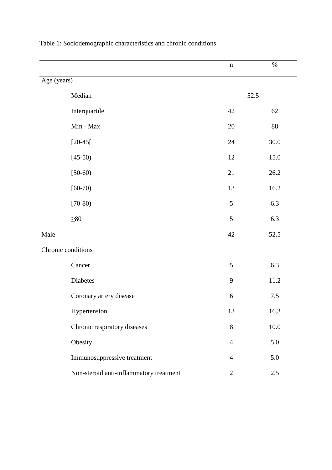|                                         | $\mathbf n$    | $\%$     |
|-----------------------------------------|----------------|----------|
| Age (years)                             |                |          |
| Median                                  |                | 52.5     |
| Interquartile                           | 42             | 62       |
| $Min - Max$                             | 20             | $88\,$   |
| $[20-45]$                               | $24\,$         | 30.0     |
| $[45-50)$                               | 12             | 15.0     |
| $[50-60)$                               | 21             | 26.2     |
| $[60-70)$                               | 13             | 16.2     |
| $[70-80)$                               | 5              | 6.3      |
| $\geq 80$                               | 5              | 6.3      |
| Male                                    | $42\,$         | 52.5     |
| Chronic conditions                      |                |          |
| Cancer                                  | 5              | 6.3      |
| Diabetes                                | 9              | 11.2     |
| Coronary artery disease                 | 6              | $7.5\,$  |
| Hypertension                            | 13             | 16.3     |
| Chronic respiratory diseases            | $8\,$          | $10.0\,$ |
| Obesity                                 | $\overline{4}$ | 5.0      |
| Immunosuppressive treatment             | $\overline{4}$ | 5.0      |
| Non-steroid anti-inflammatory treatment | $\mathbf{2}$   | $2.5\,$  |
|                                         |                |          |

# Table 1: Sociodemographic characteristics and chronic conditions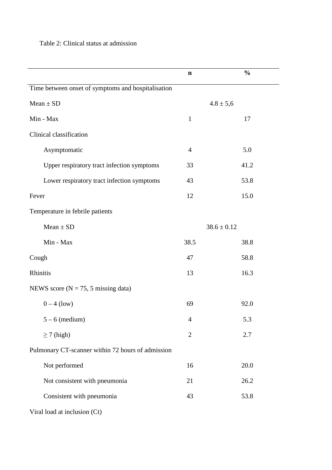# Table 2: Clinical status at admission

|                                                    | $\mathbf n$    | $\frac{0}{0}$   |  |
|----------------------------------------------------|----------------|-----------------|--|
| Time between onset of symptoms and hospitalisation |                |                 |  |
| $Mean \pm SD$                                      | $4.8 \pm 5,6$  |                 |  |
| Min - Max                                          | $\mathbf{1}$   | 17              |  |
| Clinical classification                            |                |                 |  |
| Asymptomatic                                       | $\overline{4}$ | 5.0             |  |
| Upper respiratory tract infection symptoms         | 33             | 41.2            |  |
| Lower respiratory tract infection symptoms         | 43             | 53.8            |  |
| Fever                                              | 12             | 15.0            |  |
| Temperature in febrile patients                    |                |                 |  |
| $Mean \pm SD$                                      |                | $38.6 \pm 0.12$ |  |
| Min - Max                                          | 38.5           | 38.8            |  |
| Cough                                              | 47<br>58.8     |                 |  |
| Rhinitis                                           | 16.3<br>13     |                 |  |
| NEWS score ( $N = 75$ , 5 missing data)            |                |                 |  |
| $0 - 4$ (low)                                      | 69             | 92.0            |  |
| $5 - 6$ (medium)                                   | $\overline{4}$ | 5.3             |  |
| $\geq$ 7 (high)                                    | $\overline{2}$ | 2.7             |  |
| Pulmonary CT-scanner within 72 hours of admission  |                |                 |  |
| Not performed                                      | 16             | 20.0            |  |
| Not consistent with pneumonia                      | 21             | 26.2            |  |
| Consistent with pneumonia                          | 43             | 53.8            |  |
| Viral load at inclusion (Ct)                       |                |                 |  |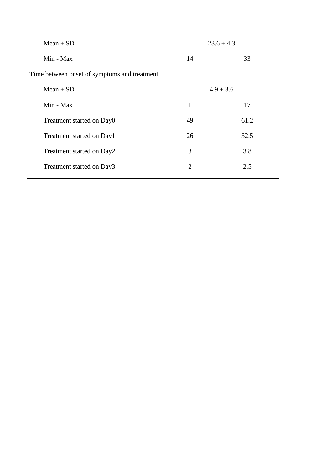| $Mean \pm SD$                                |              | $23.6 \pm 4.3$ |
|----------------------------------------------|--------------|----------------|
| Min - Max                                    | 14           | 33             |
| Time between onset of symptoms and treatment |              |                |
| Mean $\pm$ SD                                |              | $4.9 \pm 3.6$  |
| Min - Max                                    | $\mathbf{1}$ | 17             |
| Treatment started on Day0                    | 49           | 61.2           |
| Treatment started on Day1                    | 26           | 32.5           |
| Treatment started on Day2                    | 3            | 3.8            |
| Treatment started on Day3                    | 2            | 2.5            |
|                                              |              |                |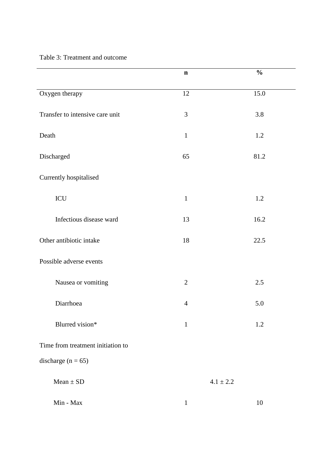Table 3: Treatment and outcome

|                                   | $\mathbf n$    | $\frac{0}{0}$ |  |  |  |
|-----------------------------------|----------------|---------------|--|--|--|
| Oxygen therapy                    | 12             | 15.0          |  |  |  |
| Transfer to intensive care unit   | $\mathfrak{Z}$ | 3.8           |  |  |  |
| Death                             | $\mathbf{1}$   | 1.2           |  |  |  |
| Discharged                        | 65<br>81.2     |               |  |  |  |
| Currently hospitalised            |                |               |  |  |  |
| $\rm{ICU}$                        | $\mathbf 1$    | 1.2           |  |  |  |
| Infectious disease ward           | 13             | 16.2          |  |  |  |
| Other antibiotic intake           | 18             | 22.5          |  |  |  |
| Possible adverse events           |                |               |  |  |  |
| Nausea or vomiting                | $\overline{2}$ | 2.5           |  |  |  |
| Diarrhoea                         | $\overline{4}$ | 5.0           |  |  |  |
| Blurred vision*                   | $\mathbf{1}$   | 1.2           |  |  |  |
| Time from treatment initiation to |                |               |  |  |  |
| discharge $(n = 65)$              |                |               |  |  |  |
| $Mean \pm SD$                     |                | $4.1\pm2.2$   |  |  |  |
| $Min - Max$                       | $\mathbf{1}$   | 10            |  |  |  |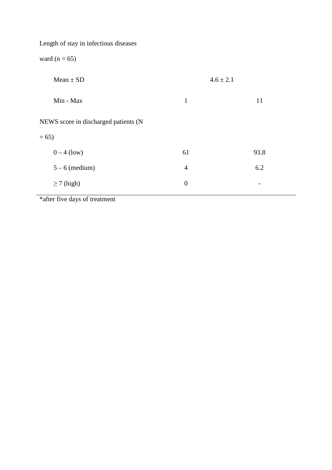| Length of stay in infectious diseases |                  |      |  |  |  |
|---------------------------------------|------------------|------|--|--|--|
| ward ( $n = 65$ )                     |                  |      |  |  |  |
| $Mean \pm SD$                         | $4.6 \pm 2.1$    |      |  |  |  |
| Min - Max                             | $\mathbf{1}$     | 11   |  |  |  |
| NEWS score in discharged patients (N  |                  |      |  |  |  |
| $= 65$                                |                  |      |  |  |  |
| $0 - 4$ (low)                         | 61               | 93.8 |  |  |  |
| $5 - 6$ (medium)                      | $\overline{4}$   | 6.2  |  |  |  |
| $\geq$ 7 (high)                       | $\boldsymbol{0}$ | -    |  |  |  |

\*after five days of treatment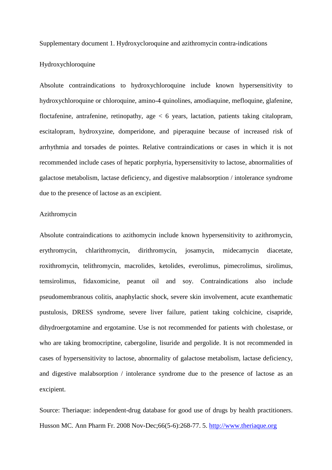Supplementary document 1. Hydroxycloroquine and azithromycin contra-indications

## Hydroxychloroquine

Absolute contraindications to hydroxychloroquine include known hypersensitivity to hydroxychloroquine or chloroquine, amino-4 quinolines, amodiaquine, mefloquine, glafenine, floctafenine, antrafenine, retinopathy, age < 6 years, lactation, patients taking citalopram, escitalopram, hydroxyzine, domperidone, and piperaquine because of increased risk of arrhythmia and torsades de pointes. Relative contraindications or cases in which it is not recommended include cases of hepatic porphyria, hypersensitivity to lactose, abnormalities of galactose metabolism, lactase deficiency, and digestive malabsorption / intolerance syndrome due to the presence of lactose as an excipient.

## Azithromycin

Absolute contraindications to azithomycin include known hypersensitivity to azithromycin, erythromycin, chlarithromycin, dirithromycin, josamycin, midecamycin diacetate, roxithromycin, telithromycin, macrolides, ketolides, everolimus, pimecrolimus, sirolimus, temsirolimus, fidaxomicine, peanut oil and soy. Contraindications also include pseudomembranous colitis, anaphylactic shock, severe skin involvement, acute exanthematic pustulosis, DRESS syndrome, severe liver failure, patient taking colchicine, cisapride, dihydroergotamine and ergotamine. Use is not recommended for patients with cholestase, or who are taking bromocriptine, cabergoline, lisuride and pergolide. It is not recommended in cases of hypersensitivity to lactose, abnormality of galactose metabolism, lactase deficiency, and digestive malabsorption / intolerance syndrome due to the presence of lactose as an excipient.

Source: Theriaque: independent-drug database for good use of drugs by health practitioners. Husson MC. Ann Pharm Fr. 2008 Nov-Dec;66(5-6):268-77. 5. http://www.theriaque.org